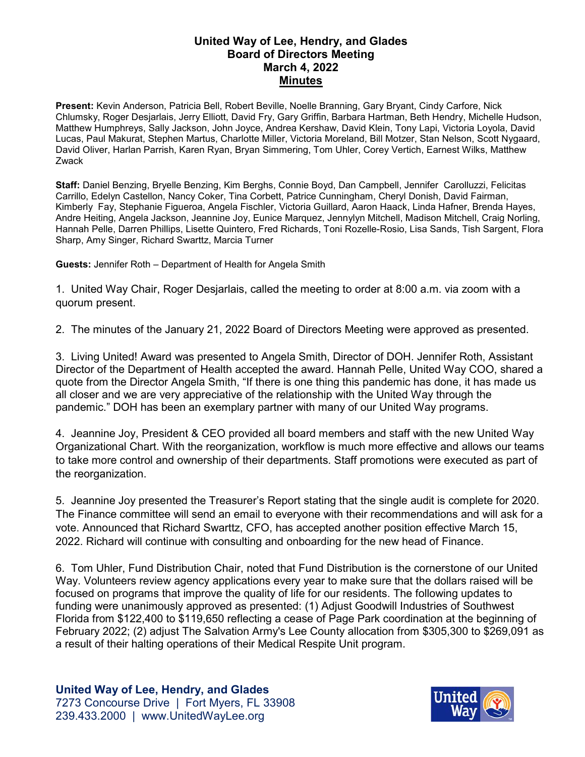## **United Way of Lee, Hendry, and Glades Board of Directors Meeting March 4, 2022 Minutes**

**Present:** Kevin Anderson, Patricia Bell, Robert Beville, Noelle Branning, Gary Bryant, Cindy Carfore, Nick Chlumsky, Roger Desjarlais, Jerry Elliott, David Fry, Gary Griffin, Barbara Hartman, Beth Hendry, Michelle Hudson, Matthew Humphreys, Sally Jackson, John Joyce, Andrea Kershaw, David Klein, Tony Lapi, Victoria Loyola, David Lucas, Paul Makurat, Stephen Martus, Charlotte Miller, Victoria Moreland, Bill Motzer, Stan Nelson, Scott Nygaard, David Oliver, Harlan Parrish, Karen Ryan, Bryan Simmering, Tom Uhler, Corey Vertich, Earnest Wilks, Matthew Zwack

**Staff:** Daniel Benzing, Bryelle Benzing, Kim Berghs, Connie Boyd, Dan Campbell, Jennifer Carolluzzi, Felicitas Carrillo, Edelyn Castellon, Nancy Coker, Tina Corbett, Patrice Cunningham, Cheryl Donish, David Fairman, Kimberly Fay, Stephanie Figueroa, Angela Fischler, Victoria Guillard, Aaron Haack, Linda Hafner, Brenda Hayes, Andre Heiting, Angela Jackson, Jeannine Joy, Eunice Marquez, Jennylyn Mitchell, Madison Mitchell, Craig Norling, Hannah Pelle, Darren Phillips, Lisette Quintero, Fred Richards, Toni Rozelle-Rosio, Lisa Sands, Tish Sargent, Flora Sharp, Amy Singer, Richard Swarttz, Marcia Turner

**Guests:** Jennifer Roth – Department of Health for Angela Smith

1. United Way Chair, Roger Desjarlais, called the meeting to order at 8:00 a.m. via zoom with a quorum present.

2. The minutes of the January 21, 2022 Board of Directors Meeting were approved as presented.

3. Living United! Award was presented to Angela Smith, Director of DOH. Jennifer Roth, Assistant Director of the Department of Health accepted the award. Hannah Pelle, United Way COO, shared a quote from the Director Angela Smith, "If there is one thing this pandemic has done, it has made us all closer and we are very appreciative of the relationship with the United Way through the pandemic." DOH has been an exemplary partner with many of our United Way programs.

4. Jeannine Joy, President & CEO provided all board members and staff with the new United Way Organizational Chart. With the reorganization, workflow is much more effective and allows our teams to take more control and ownership of their departments. Staff promotions were executed as part of the reorganization.

5. Jeannine Joy presented the Treasurer's Report stating that the single audit is complete for 2020. The Finance committee will send an email to everyone with their recommendations and will ask for a vote. Announced that Richard Swarttz, CFO, has accepted another position effective March 15, 2022. Richard will continue with consulting and onboarding for the new head of Finance.

6. Tom Uhler, Fund Distribution Chair, noted that Fund Distribution is the cornerstone of our United Way. Volunteers review agency applications every year to make sure that the dollars raised will be focused on programs that improve the quality of life for our residents. The following updates to funding were unanimously approved as presented: (1) Adjust Goodwill Industries of Southwest Florida from \$122,400 to \$119,650 reflecting a cease of Page Park coordination at the beginning of February 2022; (2) adjust The Salvation Army's Lee County allocation from \$305,300 to \$269,091 as a result of their halting operations of their Medical Respite Unit program.